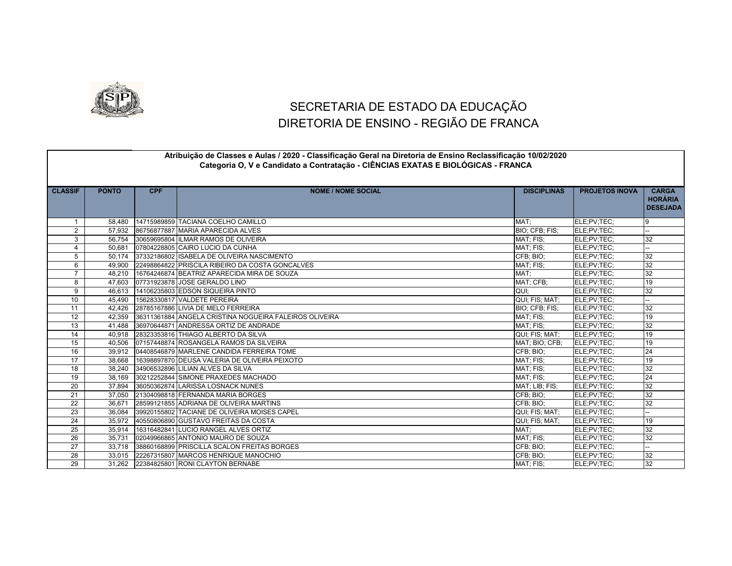

## SECRETARIA DE ESTADO DA EDUCAÇÃO DIRETORIA DE ENSINO - REGIÃO DE FRANCA

## **CLASSIF PONTO CPF NOME / NOME SOCIAL DISCIPLINAS PROJETOS INOVA CARGA HORÁRIA DESEJADA** 1 58,480 14715989859 TACIANA COELHO CAMILLO AND SUN SERVICE SUN SERVICE SERVICES AND THE SERV;TEC; 1990 158,480 14715989859 TACIANA COELHO CAMILLO 2 57,932 86756877887 MARIA APARECIDA ALVES BIO; CFB; FIS; ELE;PV;TEC; -- 3 56,754 30659695804 ILMAR RAMOS DE OLIVEIRA MATIS AND SOLIT AND SOLIT AND RELEGION MATIS MATIS RELEGION TELE: PV;TEC; 32 4 50,681 07804228805 CAIRO LUCIO DA CUNHA MAT; FIS; ELE;PV;TEC; ELE;PV;TEC; 5 50,174 37332186802 ISABELA DE OLIVEIRA NASCIMENTO CFB; BIO; ELE;PV;TEC; 32 6 49,900 22498864822 PRISCILA RIBEIRO DA COSTA GONCALVES MATION AND SERVICES MAT; FIS; ELE;PV;TEC; 32 7 48,210 16764246874 BEATRIZ APARECIDA MIRA DE SOUZA MATRIZ ELE;PV;TEC; 32<br>18 47,603 07731923878 JOSE GERALDO LINO 8 47,603 07731923878 JOSE GERALDO LINO AND STREET AND THE SERVER OF STREET AND THE SERVICE (19 9 46.613 14106235803 EDSON SIQUEIRA PINTO AND SOLUTION CONTROL CONTROL CONTROL CONTROL CONTROL CONTROL CONTROL CONTROL CONTROL CONTROL CONTROL CONTROL CONTROL CONTROL CONTROL CONTROL CONTROL CONTROL CONTROL CONTROL CONTROL 10 45,490 15628330817 VALDETE PEREIRA AND THE SERVICE OF STATE STATES; MAT; CLE;PV;TEC; 11 42,426 28785167886 LIVIA DE MELO FERREIRA BIO; CFB; FIS; ELE;PV;TEC; 32 12 42.359 36311361884 ANGELA CRISTINA NOGUEIRA FALEIROS OLIVEIRA MATERA MATERIS: ELE;PV;TEC; 19 13 41,488 36970644871 ANDRESSA ORTIZ DE ANDRADE MAT; FIS: ELE;PV;TEC; 32 14 40,918 28323353816 THIAGO ALBERTO DA SILVA and the state of the state of the state of the state of the state of the state of the state of the state of the state of the state of the state of the state of the state of the 15 40,506 07157448874 ROSANGELA RAMOS DA SILVEIRA MATION DE SANTIFICIALE ELE;PV;TEC; 19 16 39,912 04408546879 MARLENE CANDIDA FERREIRA TOME CFB; CFB; BIO; ELE;PV;TEC; 24 17 38,668 16398897870 DEUSA VALERIA DE OLIVEIRA PEIXOTO NATIONALE ELE;PV;TEC; 19 | MAT; FIS; ELE;PV;TEC; 19 18 38,240 34906532896 LILIAN ALVES DA SILVA MAT; FIS; ELE;PV;TEC; 32 19 38,169 30212252844 SIMONE PRAXEDES MACHADO MAT; FIS; ELE;PV;TEC; 24 20 37,894 36050362874 LARISSA LOSNACK NUNES 32 32 32 32 32 32 332 34 34 350 362 37,894 36050362874 LARISSA LOSNACK NUNES 21 37,050 21304098818 FERNANDA MARIA BORGES 20 21 32 22 36,671 28599121855 ADRIANA DE OLIVEIRA MARTINS 22 JUNISIPALE: SIO; L'ELE;PV;TEC; 232 JUNISIPALE;PV;TEC; 232 23 36,084 39920155802 TACIANE DE OLIVEIRA MOISES CAPEL 36,084 500 FIS; MAT; ELE;PV;TEC; 24 35,972 40550806890 GUSTAVO FREITAS DA COSTA QUI; FIS; MAT; ELE;PV;TEC; 19 25 35,914 16316482841 LUCIO RANGEL ALVES ORTIZ 32 25 AMAT; ELE;PV;TEC; 32 26 35,731 02049966865 ANTONIO MAURO DE SOUZA 32 32 32 32 33 34 35 36 36 37 37 37 37 38 37 38 38 38 39 38 39 39 27 33.718 38860168899 PRISCILLA SCALON FREITAS BORGES CHEEF CHEEF CHEEF CHEEF CHEEF CHEEF CHEEF CHEEF CHEEF CHEE 28 33,015 22267315807 MARCOS HENRIQUE MANOCHIO 32 32 32 32 CFB; BIO; ELE;PV;TEC; 32 29 31,262 22384825801 RONI CLAYTON BERNABE 32 32 32 332 348325801 RONI CLAYTON BERNABE **Atribuição de Classes e Aulas / 2020 - Classificação Geral na Diretoria de Ensino Reclassificação 10/02/2020 Categoria O, V e Candidato a Contratação - CIÊNCIAS EXATAS E BIOLÓGICAS - FRANCA**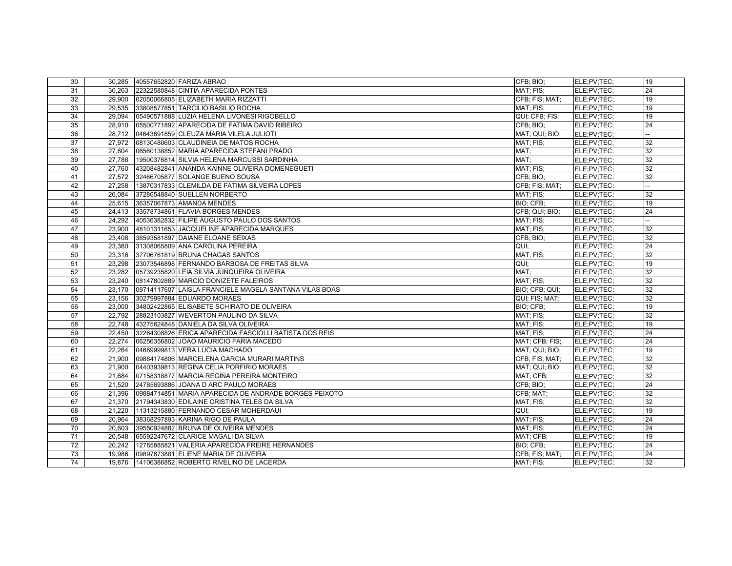| 30 | 30,285 | 40557652820 FARIZA ABRAO                               | CFB; BIO;      | ELE:PV:TEC: | 19 |
|----|--------|--------------------------------------------------------|----------------|-------------|----|
| 31 | 30.263 | 22322580848 CINTIA APARECIDA PONTES                    | MAT: FIS:      | ELE;PV;TEC; | 24 |
| 32 | 29,900 | 02050066805 ELIZABETH MARIA RIZZATTI                   | CFB; FIS; MAT; | ELE:PV:TEC: | 19 |
| 33 | 29,535 | 33808577851 TARCILIO BASILIO ROCHA                     | MAT; FIS;      | ELE;PV;TEC; | 19 |
| 34 | 29,094 | 05490571888 LUZIA HELENA LIVONESI RIGOBELLO            | QUI; CFB; FIS; | ELE:PV:TEC: | 19 |
| 35 | 28,910 | 05500771892 APARECIDA DE FATIMA DAVID RIBEIRO          | CFB; BIO;      | ELE:PV:TEC: | 24 |
| 36 | 28,712 | 04643691859 CLEUZA MARIA VILELA JULIOTI                | MAT; QUI; BIO; | ELE:PV:TEC: |    |
| 37 | 27.972 | 08130480603 CLAUDINEIA DE MATOS ROCHA                  | MAT: FIS:      | ELE;PV;TEC; | 32 |
| 38 | 27,804 | 06560138852 MARIA APARECIDA STEFANI PRADO              | MAT:           | ELE:PV:TEC: | 32 |
| 39 | 27,788 | 19500376814 SILVIA HELENA MARCUSSI SARDINHA            | MAT:           | ELE;PV;TEC; | 32 |
| 40 | 27.760 | 43208482841 ANANDA KAINNE OLIVEIRA DOMENEGUETI         | MAT; FIS;      | ELE:PV:TEC: | 32 |
| 41 | 27,572 | 32466705877 SOLANGE BUENO SOUSA                        | CFB; BIO;      | ELE:PV:TEC: | 32 |
| 42 | 27,258 | 13870317833 CLEMILDA DE FATIMA SILVEIRA LOPES          | CFB; FIS; MAT; | ELE;PV;TEC; |    |
| 43 | 26.084 | 37286548840 SUELLEN NORBERTO                           | MAT; FIS;      | ELE:PV:TEC: | 32 |
| 44 | 25,615 | 36357067873 AMANDA MENDES                              | BIO; CFB;      | ELE:PV:TEC: | 19 |
| 45 | 24,413 | 33578734861 FLAVIA BORGES MENDES                       | CFB; QUI; BIO; | ELE;PV;TEC; | 24 |
| 46 | 24.292 | 40536382832 FILIPE AUGUSTO PAULO DOS SANTOS            | MAT; FIS;      | ELE:PV:TEC: |    |
| 47 | 23.900 | 48101311653 JACQUELINE APARECIDA MARQUES               | MAT; FIS;      | ELE:PV:TEC: | 32 |
| 48 | 23,408 | 38593581897 DAIANE ELOANE SEIXAS                       | CFB; BIO;      | ELE;PV;TEC; | 32 |
| 49 | 23,360 | 31308065809 ANA CAROLINA PEREIRA                       | QUI:           | ELE:PV:TEC: | 24 |
| 50 | 23,316 | 37706761819 BRUNA CHAGAS SANTOS                        | MAT; FIS;      | ELE;PV;TEC; | 32 |
| 51 | 23,298 | 23073546898 FERNANDO BARBOSA DE FREITAS SILVA          | QUI:           | ELE:PV:TEC: | 19 |
| 52 | 23.282 | 05739235820 LEIA SILVIA JUNQUEIRA OLIVEIRA             | MAT:           | ELE:PV:TEC: | 32 |
| 53 | 23,240 | 08147802889 MARCIO DONIZETE FALEIROS                   | MAT; FIS;      | ELE;PV;TEC; | 32 |
| 54 | 23,170 | 09714117607 LAISLA FRANCIELE MAGELA SANTANA VILAS BOAS | BIO; CFB; QUI; | ELE;PV;TEC; | 32 |
| 55 | 23,156 | 30279997884 EDUARDO MORAES                             | QUI; FIS; MAT; | ELE:PV:TEC: | 32 |
| 56 | 23,000 | 34802422865 ELISABETE SCHIRATO DE OLIVEIRA             | BIO; CFB;      | ELE;PV;TEC; | 19 |
| 57 | 22,792 | 28823103827 WEVERTON PAULINO DA SILVA                  | MAT: FIS:      | ELE:PV:TEC: | 32 |
| 58 | 22,748 | 43275824848 DANIELA DA SILVA OLIVEIRA                  | MAT; FIS;      | ELE;PV;TEC; | 19 |
| 59 | 22.450 | 32264308826 ERICA APARECIDA FASCIOLLI BATISTA DOS REIS | MAT; FIS;      | ELE:PV:TEC: | 24 |
| 60 | 22.274 | 06256356802 JJOAO MAURICIO FARIA MACEDO                | MAT: CFB: FIS: | ELE:PV:TEC: | 24 |
| 61 | 22,264 | 04689999813 VERA LUCIA MACHADO                         | MAT; QUI; BIO; | ELE:PV:TEC: | 19 |
| 62 | 21.900 | 09884174806 MARCELENA GARCIA MURARI MARTINS            | CFB; FIS; MAT; | ELE;PV;TEC; | 32 |
| 63 | 21,900 | 04403939813 REGINA CELIA PORFIRIO MORAES               | MAT; QUI; BIO; | ELE:PV:TEC: | 32 |
| 64 | 21,684 | 07158318877 MARCIA REGINA PEREIRA MONTEIRO             | MAT; CFB;      | ELE:PV:TEC: | 32 |
| 65 | 21.520 | 24785693886 JOANA D ARC PAULO MORAES                   | CFB; BIO;      | ELE;PV;TEC; | 24 |
| 66 | 21,396 | 09884714851 MARIA APARECIDA DE ANDRADE BORGES PEIXOTO  | CFB; MAT;      | ELE:PV:TEC: | 32 |
| 67 | 21,370 | 21794343830 EDILAINE CRISTINA TELES DA SILVA           | MAT; FIS;      | ELE:PV:TEC: | 32 |
| 68 | 21,220 | 11313215880 FERNANDO CESAR MOHERDAUI                   | QUI;           | ELE:PV:TEC: | 19 |
| 69 |        | 20,964 38368297893 KARINA RIGO DE PAULA                | MAT; FIS;      | ELE:PV:TEC: | 24 |
| 70 | 20.603 | 39550924882 BRUNA DE OLIVEIRA MENDES                   | MAT; FIS;      | ELE:PV:TEC: | 24 |
| 71 | 20,548 | 65592247672 CLARICE MAGALI DA SILVA                    | MAT; CFB;      | ELE:PV:TEC: | 19 |
| 72 | 20,242 | 12785885821 VALERIA APARECIDA FREIRE HERNANDES         | BIO; CFB;      | ELE:PV:TEC: | 24 |
| 73 | 19.986 | 09897673881 ELIENE MARIA DE OLIVEIRA                   | CFB; FIS; MAT; | ELE:PV:TEC: | 24 |
| 74 | 19.876 | 14106386852 ROBERTO RIVELINO DE LACERDA                | MAT; FIS;      | ELE:PV:TEC: | 32 |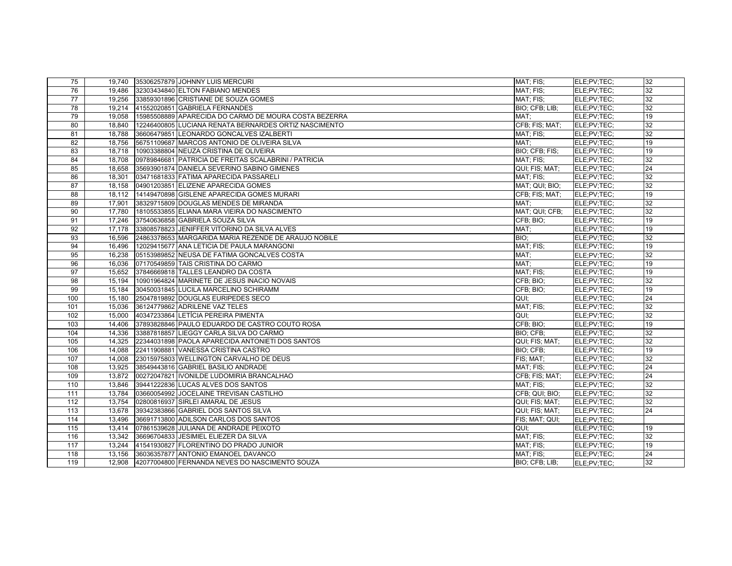| 75               |        | 19,740 35306257879 JOHNNY LUIS MERCURI                | MAT; FIS;                 | ELE;PV;TEC; | 32 |
|------------------|--------|-------------------------------------------------------|---------------------------|-------------|----|
| 76               | 19.486 | 32303434840 ELTON FABIANO MENDES                      | MAT: FIS:                 | ELE:PV:TEC: | 32 |
| 77               |        | 19,256 33859301896 CRISTIANE DE SOUZA GOMES           | MAT; FIS;                 | ELE;PV;TEC; | 32 |
| 78               |        | 19,214 41552020851 GABRIELA FERNANDES                 | BIO; CFB; LIB;            | ELE:PV:TEC: | 32 |
| 79               | 19.058 | 15985508889 APARECIDA DO CARMO DE MOURA COSTA BEZERRA | MAT:                      | ELE:PV:TEC: | 19 |
| 80               | 18,840 | 12246400805 LUCIANA RENATA BERNARDES ORTIZ NASCIMENTO | CFB; FIS; MAT;            | ELE;PV;TEC; | 32 |
| 81               | 18.788 | 36606479851 LEONARDO GONCALVES IZALBERTI              | MAT: FIS:                 | ELE:PV:TEC: | 32 |
| 82               | 18,756 | 56751109687 MARCOS ANTONIO DE OLIVEIRA SILVA          | MAT;                      | ELE:PV:TEC: | 19 |
| 83               | 18,718 | 10903388804 NEUZA CRISTINA DE OLIVEIRA                | BIO; CFB; FIS;            | ELE;PV;TEC; | 19 |
| 84               | 18.708 | 09789846681 PATRICIA DE FREITAS SCALABRINI / PATRICIA | MAT; FIS;                 | ELE:PV:TEC: | 32 |
| 85               |        | 18,658 35693901874 DANIELA SEVERINO SABINO GIMENES    | QUI; FIS; MAT;            | ELE:PV:TEC: | 24 |
| 86               | 18,301 | 03471681833 FATIMA APARECIDA PASSARELI                | MAT; FIS;                 | ELE;PV;TEC; | 32 |
| 87               |        | 18,158 04901203851 ELIZENE APARECIDA GOMES            | MAT; QUI; BIO;            | ELE;PV;TEC; | 32 |
| 88               |        | 18,112 14149470898 GISLENE APARECIDA GOMES MURARI     | CFB; FIS; MAT;            | ELE;PV;TEC; | 19 |
| 89               | 17,901 | 38329715809 DOUGLAS MENDES DE MIRANDA                 | $\overline{\text{MAT}}$ ; | ELE;PV;TEC; | 32 |
| 90               | 17.780 | 18105533855 ELIANA MARA VIEIRA DO NASCIMENTO          | MAT; QUI; CFB;            | ELE;PV;TEC; | 32 |
| 91               | 17,246 | 37540636858 GABRIELA SOUZA SILVA                      | CFB; BIO;                 | ELE;PV;TEC; | 19 |
| 92               |        | 17,178 33808578823 JENIFFER VITORINO DA SILVA ALVES   | MAT;                      | ELE;PV;TEC; | 19 |
| 93               | 16.596 | 24863378653 MARGARIDA MARIA REZENDE DE ARAUJO NOBILE  | BIO:                      | ELE:PV:TEC: | 32 |
| 94               | 16,496 | 12029415677 ANA LETICIA DE PAULA MARANGONI            | MAT; FIS;                 | ELE;PV;TEC; | 19 |
| 95               | 16,238 | 05153989852 NEUSA DE FATIMA GONCALVES COSTA           | MAT;                      | ELE:PV:TEC: | 32 |
| 96               | 16,036 | 07170549859 TAIS CRISTINA DO CARMO                    | MAT:                      | ELE:PV:TEC: | 19 |
| 97               | 15,652 | 37846669818 TALLES LEANDRO DA COSTA                   | MAT; FIS;                 | ELE:PV:TEC: | 19 |
| 98               | 15,194 | 10901964824 MARINETE DE JESUS INACIO NOVAIS           | CFB; BIO;                 | ELE;PV;TEC; | 32 |
| 99               | 15,184 | 30450031845 LUCILA MARCELINO SCHIRAMM                 | CFB; BIO;                 | ELE;PV;TEC; | 19 |
| 100              | 15,180 | 25047819892 DOUGLAS EURIPEDES SECO                    | QUI:                      | ELE;PV;TEC; | 24 |
| 101              | 15,036 | 36124779862 ADRILENE VAZ TELES                        | MAT; FIS;                 | ELE;PV;TEC; | 32 |
| 102              | 15,000 | 40347233864 LETÍCIA PEREIRA PIMENTA                   | QUI:                      | ELE:PV:TEC: | 32 |
| 103              | 14,406 | 37893828846 PAULO EDUARDO DE CASTRO COUTO ROSA        | CFB; BIO;                 | ELE:PV:TEC: | 19 |
| 104              | 14,336 | 33887818857 LIEGGY CARLA SILVA DO CARMO               | BIO; CFB;                 | ELE:PV:TEC: | 32 |
| 105              | 14,325 | 22344031898 PAOLA APARECIDA ANTONIETI DOS SANTOS      | QUI; FIS; MAT;            | ELE:PV:TEC: | 32 |
| 106              | 14,088 | 22411908881 VANESSA CRISTINA CASTRO                   | BIO; CFB;                 | ELE:PV:TEC: | 19 |
| 107              |        | 14,008 23015975803 WELLINGTON CARVALHO DE DEUS        | FIS; MAT;                 | ELE:PV:TEC: | 32 |
| 108              | 13,925 | 38549443816 GABRIEL BASILIO ANDRADE                   | MAT; FIS;                 | ELE:PV:TEC: | 24 |
| 109              | 13,872 | 00272047821 IVONILDE LUDOMIRIA BRANCALHAO             | CFB; FIS; MAT;            | ELE:PV:TEC: | 24 |
| 110              | 13,846 | 39441222836 LUCAS ALVES DOS SANTOS                    | MAT; FIS;                 | ELE;PV;TEC; | 32 |
| 111              | 13,784 | 03660054992 JOCELAINE TREVISAN CASTILHO               | CFB; QUI; BIO;            | ELE;PV;TEC; | 32 |
| $\overline{112}$ | 13.754 | 02800816937 SIRLEI AMARAL DE JESUS                    | QUI; FIS; MAT;            | ELE:PV:TEC: | 32 |
| 113              | 13,678 | 39342383866 GABRIEL DOS SANTOS SILVA                  | QUI; FIS; MAT;            | ELE;PV;TEC; | 24 |
| 114              | 13,496 | 36691713800 ADILSON CARLOS DOS SANTOS                 | FIS; MAT; QUI;            | ELE:PV:TEC: |    |
| 115              | 13,414 | 07861539628 JULIANA DE ANDRADE PEIXOTO                | QUI:                      | ELE:PV:TEC: | 19 |
| 116              | 13,342 | 36696704833 JESIMIEL ELIEZER DA SILVA                 | MAT; FIS;                 | ELE;PV;TEC; | 32 |
| 117              | 13,244 | 41541930827 FLORENTINO DO PRADO JUNIOR                | MAT; FIS;                 | ELE;PV;TEC; | 19 |
| 118              | 13.156 | 36036357877 ANTONIO EMANOEL DAVANCO                   | MAT; FIS;                 | ELE:PV:TEC: | 24 |
| 119              | 12.908 | 42077004800 FERNANDA NEVES DO NASCIMENTO SOUZA        | BIO; CFB; LIB;            | ELE;PV;TEC; | 32 |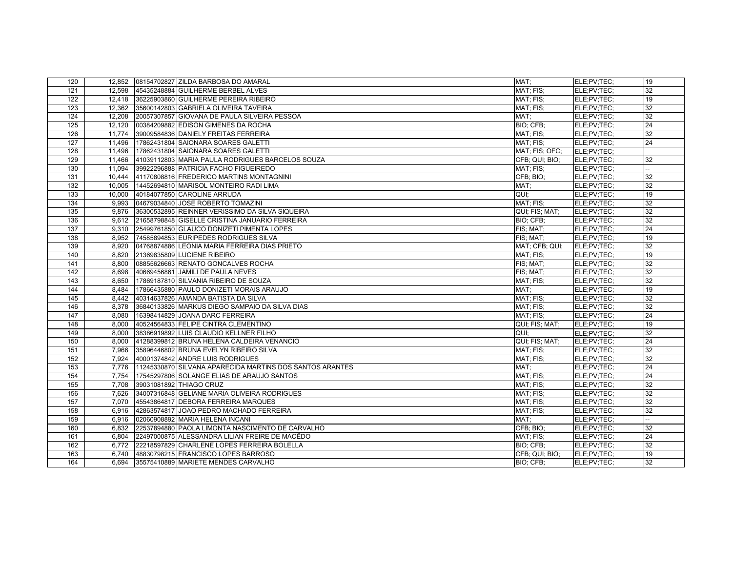| 120 |        | 12,852 08154702827 ZILDA BARBOSA DO AMARAL               | MAT:           | ELE;PV;TEC; | 19 |
|-----|--------|----------------------------------------------------------|----------------|-------------|----|
| 121 | 12.598 | 45435248884 GUILHERME BERBEL ALVES                       | MAT: FIS:      | ELE:PV:TEC: | 32 |
| 122 |        | 12,418 36225903860 GUILHERME PEREIRA RIBEIRO             | MAT; FIS;      | ELE;PV;TEC; | 19 |
| 123 |        | 12,362 35600142803 GABRIELA OLIVEIRA TAVEIRA             | MAT; FIS;      | ELE:PV:TEC: | 32 |
| 124 | 12.208 | 20057307857 GIOVANA DE PAULA SILVEIRA PESSOA             | MAT:           | ELE:PV:TEC: | 32 |
| 125 | 12,120 | 00384209882 EDISON GIMENES DA ROCHA                      | BIO; CFB;      | ELE;PV;TEC; | 24 |
| 126 | 11.774 | 39009584836 DANIELY FREITAS FERREIRA                     | MAT: FIS:      | ELE:PV:TEC: | 32 |
| 127 | 11,496 | 17862431804 SAIONARA SOARES GALETTI                      | MAT; FIS;      | ELE:PV:TEC: | 24 |
| 128 | 11,496 | 17862431804 SAIONARA SOARES GALETTI                      | MAT; FIS; OFC; | ELE:PV:TEC: |    |
| 129 | 11,466 | 41039112803 MARIA PAULA RODRIGUES BARCELOS SOUZA         | CFB; QUI; BIO; | ELE;PV;TEC; | 32 |
| 130 | 11.094 | 39922296888 PATRICIA FACHO FIGUEIREDO                    | MAT; FIS;      | ELE:PV:TEC: |    |
| 131 | 10,444 | 41170808816 FREDERICO MARTINS MONTAGNINI                 | CFB; BIO;      | ELE;PV;TEC; | 32 |
| 132 | 10.005 | 14452694810 MARISOL MONTEIRO RADI LIMA                   | MAT:           | ELE:PV:TEC: | 32 |
| 133 | 10,000 | 40184077850 CAROLINE ARRUDA                              | QUI:           | ELE:PV:TEC: | 19 |
| 134 | 9.993  | 04679034840 JOSE ROBERTO TOMAZINI                        | MAT; FIS;      | ELE:PV:TEC: | 32 |
| 135 | 9.876  | 36300532895 REINNER VERISSIMO DA SILVA SIQUEIRA          | QUI; FIS; MAT; | ELE:PV:TEC: | 32 |
| 136 | 9,612  | 21658798848 GISELLE CRISTINA JANUARIO FERREIRA           | BIO; CFB;      | ELE;PV;TEC; | 32 |
| 137 | 9.310  | 25499761850 GLAUCO DONIZETI PIMENTA LOPES                | FIS; MAT;      | ELE;PV;TEC; | 24 |
| 138 |        | 8.952 74585894853 EURIPEDES RODRIGUES SILVA              | FIS: MAT:      | ELE:PV:TEC: | 19 |
| 139 | 8,920  | 04768874886 LEONIA MARIA FERREIRA DIAS PRIETO            | MAT; CFB; QUI; | ELE;PV;TEC; | 32 |
| 140 | 8.820  | 21369835809 LUCIENE RIBEIRO                              | MAT; FIS;      | ELE;PV;TEC; | 19 |
| 141 | 8.800  | 08855626663 RENATO GONCALVES ROCHA                       | FIS; MAT;      | ELE:PV:TEC: | 32 |
| 142 | 8,698  | 40669456861 JAMILI DE PAULA NEVES                        | FIS; MAT;      | ELE:PV:TEC: | 32 |
| 143 | 8,650  | 17869187810 SILVANIA RIBEIRO DE SOUZA                    | MAT; FIS;      | ELE;PV;TEC; | 32 |
| 144 | 8.484  | 17866435880 PAULO DONIZETI MORAIS ARAUJO                 | MAT:           | ELE;PV;TEC; | 19 |
| 145 | 8,442  | 40314637826 AMANDA BATISTA DA SILVA                      | MAT; FIS;      | ELE:PV:TEC: | 32 |
| 146 | 8.378  | 36840133826 MARKUS DIEGO SAMPAIO DA SILVA DIAS           | MAT; FIS;      | ELE;PV;TEC; | 32 |
| 147 | 8,080  | 16398414829 JOANA DARC FERREIRA                          | MAT; FIS;      | ELE:PV:TEC: | 24 |
| 148 | 8.000  | 40524564833 FELIPE CINTRA CLEMENTINO                     | QUI; FIS; MAT; | ELE:PV:TEC: | 19 |
| 149 | 8,000  | 38386919892 LUIS CLAUDIO KELLNER FILHO                   | QUI:           | ELE:PV:TEC: | 32 |
| 150 | 8,000  | 41288399812 BRUNA HELENA CALDEIRA VENANCIO               | QUI; FIS; MAT; | ELE:PV:TEC: | 24 |
| 151 | 7,966  | 35896446802 BRUNA EVELYN RIBEIRO SILVA                   | MAT; FIS;      | ELE:PV:TEC: | 32 |
| 152 | 7,924  | 40001374842 ANDRE LUIS RODRIGUES                         | MAT; FIS;      | ELE:PV:TEC: | 32 |
| 153 | 7,776  | 11245330870 SILVANA APARECIDA MARTINS DOS SANTOS ARANTES | MAT:           | ELE:PV:TEC: | 24 |
| 154 | 7,754  | 17545297806 SOLANGE ELIAS DE ARAUJO SANTOS               | MAT; FIS;      | ELE:PV:TEC: | 24 |
| 155 | 7,708  | 39031081892 THIAGO CRUZ                                  | MAT; FIS;      | ELE;PV;TEC; | 32 |
| 156 | 7.626  | 34007316848 GELIANE MARIA OLIVEIRA RODRIGUES             | MAT; FIS;      | ELE:PV:TEC: | 32 |
| 157 | 7.070  | 45543864817 DEBORA FERREIRA MARQUES                      | MAT; FIS;      | ELE:PV:TEC: | 32 |
| 158 | 6,916  | 42863574817 JOAO PEDRO MACHADO FERREIRA                  | MAT; FIS;      | ELE;PV;TEC; | 32 |
| 159 | 6.916  | 02060908892 MARIA HELENA INCANI                          | MAT:           | ELE:PV:TEC: |    |
| 160 | 6.832  | 22537894880 PAOLA LIMONTA NASCIMENTO DE CARVALHO         | CFB; BIO;      | ELE:PV:TEC: | 32 |
| 161 | 6.804  | 22497000875 ALESSANDRA LILIAN FREIRE DE MACÊDO           | MAT; FIS;      | ELE;PV;TEC; | 24 |
| 162 | 6,772  | 22218597829 CHARLENE LOPES FERREIRA BOLELLA              | BIO; CFB;      | ELE:PV:TEC: | 32 |
| 163 | 6.740  | 48830798215 FRANCISCO LOPES BARROSO                      | CFB; QUI; BIO; | ELE:PV:TEC: | 19 |
| 164 | 6.694  | 35575410889 MARIETE MENDES CARVALHO                      | BIO: CFB:      | ELE:PV:TEC: | 32 |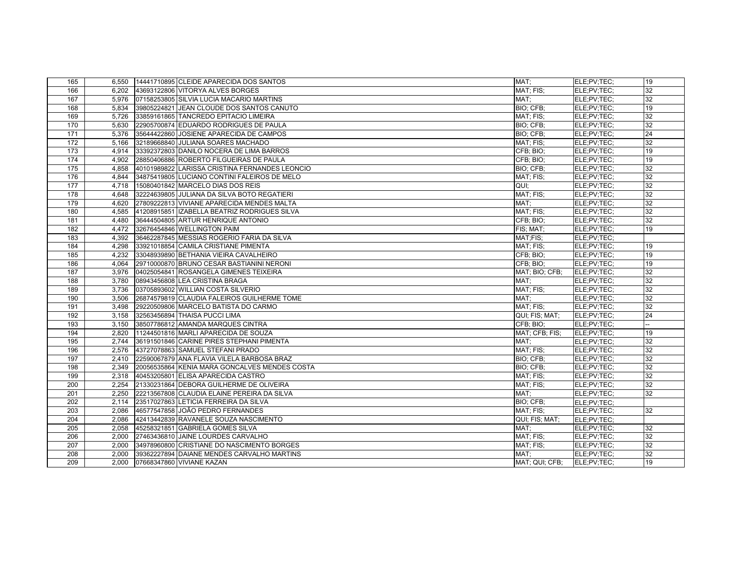| 165              |       | 6,550 14441710895 CLEIDE APARECIDA DOS SANTOS  | MAT;           | ELE;PV;TEC; | 19 |
|------------------|-------|------------------------------------------------|----------------|-------------|----|
| 166              | 6.202 | 43693122806 VITORYA ALVES BORGES               | MAT: FIS:      | ELE:PV:TEC: | 32 |
| 167              | 5,976 | 07158253805 SILVIA LUCIA MACARIO MARTINS       | MAT;           | ELE;PV;TEC; | 32 |
| 168              | 5,834 | 39805224821 JEAN CLOUDE DOS SANTOS CANUTO      | BIO; CFB;      | ELE;PV;TEC; | 19 |
| 169              | 5,726 | 33859161865 TANCREDO EPITACIO LIMEIRA          | MAT; FIS;      | ELE;PV;TEC; | 32 |
| 170              | 5,630 | 22905700874 EDUARDO RODRIGUES DE PAULA         | BIO; CFB;      | ELE;PV;TEC; | 32 |
| 171              | 5.376 | 35644422860 JJOSIENE APARECIDA DE CAMPOS       | BIO: CFB:      | ELE;PV;TEC; | 24 |
| 172              | 5,166 | 32189668840 JULIANA SOARES MACHADO             | MAT; FIS;      | ELE;PV;TEC; | 32 |
| 173              | 4,914 | 33392372803 DANILO NOCERA DE LIMA BARROS       | CFB; BIO;      | ELE;PV;TEC; | 19 |
| 174              | 4,902 | 28850406886 ROBERTO FILGUEIRAS DE PAULA        | CFB; BIO;      | ELE;PV;TEC; | 19 |
| $\frac{175}{2}$  | 4,858 | 40101989822 LARISSA CRISTINA FERNANDES LEONCIO | BIO; CFB;      | ELE;PV;TEC; | 32 |
| 176              | 4.844 | 34875419805 LUCIANO CONTINI FALEIROS DE MELO   | MAT; FIS;      | ELE;PV;TEC; | 32 |
| 177              | 4,718 | 15080401842 MARCELO DIAS DOS REIS              | QUI;           | ELE;PV;TEC; | 32 |
| 178              | 4,648 | 32224639805 JULIANA DA SILVA BOTO REGATIERI    | MAT; FIS;      | ELE;PV;TEC; | 32 |
| 179              | 4.620 | 27809222813 VIVIANE APARECIDA MENDES MALTA     | MAT:           | ELE;PV;TEC; | 32 |
| 180              | 4,585 | 41208915851 IZABELLA BEATRIZ RODRIGUES SILVA   | MAT; FIS;      | ELE;PV;TEC; | 32 |
| 181              | 4.480 | 36444504805 ARTUR HENRIQUE ANTONIO             | CFB; BIO;      | ELE;PV;TEC; | 32 |
| 182              | 4,472 | 32676454846 WELLINGTON PAIM                    | FIS; MAT;      | ELE;PV;TEC; | 19 |
| $\overline{183}$ | 4,392 | 36462287845 MESSIAS ROGERIO FARIA DA SILVA     | MAT:FIS:       | ELE;PV;TEC; |    |
| 184              | 4,298 | 33921018854 CAMILA CRISTIANE PIMENTA           | MAT; FIS;      | ELE;PV;TEC; | 19 |
| 185              | 4,232 | 33048939890 BETHANIA VIEIRA CAVALHEIRO         | CFB; BIO;      | ELE;PV;TEC; | 19 |
| 186              | 4.064 | 29710000870 BRUNO CESAR BASTIANINI NERONI      | CFB: BIO:      | ELE;PV;TEC; | 19 |
| 187              | 3.976 | 04025054841 ROSANGELA GIMENES TEIXEIRA         | MAT; BIO; CFB; | ELE;PV;TEC; | 32 |
| 188              | 3,780 | 08943456808 LEA CRISTINA BRAGA                 | MAT:           | ELE;PV;TEC; | 32 |
| 189              | 3.736 | 03705893602 WILLIAN COSTA SILVERIO             | MAT; FIS;      | ELE:PV:TEC: | 32 |
| 190              | 3,506 | 26874579819 CLAUDIA FALEIROS GUILHERME TOME    | MAT;           | ELE;PV;TEC; | 32 |
| 191              | 3.498 | 29220509806 MARCELO BATISTA DO CARMO           | MAT; FIS;      | ELE;PV;TEC; | 32 |
| 192              | 3.158 | 32563456894 THAISA PUCCI LIMA                  | QUI; FIS; MAT; | ELE:PV:TEC: | 24 |
| 193              | 3,150 | 38507786812 AMANDA MARQUES CINTRA              | CFB; BIO;      | ELE;PV;TEC; |    |
| 194              | 2.820 | 11244501816 MARLI APARECIDA DE SOUZA           | MAT; CFB; FIS; | ELE:PV:TEC: | 19 |
| 195              | 2,744 | 36191501846 CARINE PIRES STEPHANI PIMENTA      | MAT;           | ELE:PV:TEC: | 32 |
| 196              | 2.576 | 43727078863 SAMUEL STEFANI PRADO               | MAT; FIS;      | ELE;PV;TEC; | 32 |
| 197              | 2.410 | 22590067879 ANA FLAVIA VILELA BARBOSA BRAZ     | BIO; CFB;      | ELE;PV;TEC; | 32 |
| 198              | 2,349 | 20056535864 KENIA MARA GONCALVES MENDES COSTA  | BIO; CFB;      | ELE;PV;TEC; | 32 |
| 199              | 2.318 | 40453205801 ELISA APARECIDA CASTRO             | MAT; FIS;      | ELE;PV;TEC; | 32 |
| 200              | 2.254 | 21330231864 DEBORA GUILHERME DE OLIVEIRA       | MAT: FIS:      | ELE;PV;TEC; | 32 |
| 201              | 2,250 | 22213567808 CLAUDIA ELAINE PEREIRA DA SILVA    | MAT;           | ELE;PV;TEC; | 32 |
| 202              | 2,114 | 23517027863 LETICIA FERREIRA DA SILVA          | BIO; CFB;      | ELE;PV;TEC; |    |
| 203              | 2,086 | 46577547858 JOÃO PEDRO FERNANDES               | MAT; FIS;      | ELE;PV;TEC; | 32 |
| 204              | 2.086 | 42413442839 RAVANELE SOUZA NASCIMENTO          | QUI; FIS; MAT; | ELE;PV;TEC; |    |
| 205              | 2.058 | 45258321851 GABRIELA GOMES SILVA               | MAT:           | ELE;PV;TEC; | 32 |
| 206              | 2,000 | 27463436810 JAINE LOURDES CARVALHO             | MAT; FIS;      | ELE;PV;TEC; | 32 |
| 207              | 2.000 | 34978960800 CRISTIANE DO NASCIMENTO BORGES     | MAT; FIS;      | ELE;PV;TEC; | 32 |
| 208              | 2.000 | 39362227894 DAIANE MENDES CARVALHO MARTINS     | MAT:           | ELE:PV:TEC: | 32 |
| 209              | 2.000 | 07668347860 VIVIANE KAZAN                      | MAT; QUI; CFB; | ELE:PV:TEC: | 19 |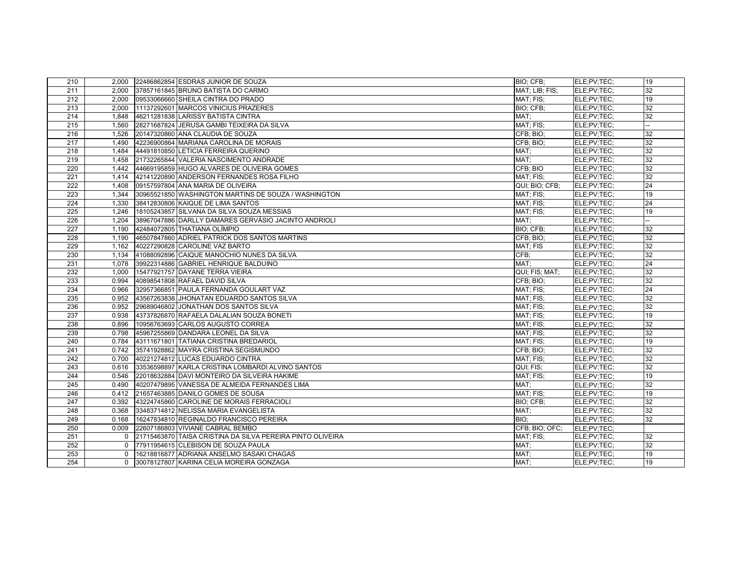| 210              |          | 2,000 22486862854 ESDRAS JUNIOR DE SOUZA                   | BIO; CFB;      | ELE;PV;TEC; | 19 |
|------------------|----------|------------------------------------------------------------|----------------|-------------|----|
| 211              | 2.000    | 37857161845 BRUNO BATISTA DO CARMO                         | MAT; LIB; FIS; | ELE;PV;TEC; | 32 |
| 212              | 2.000    | 09533066660 SHEILA CINTRA DO PRADO                         | MAT; FIS;      | ELE;PV;TEC; | 19 |
| 213              | 2.000    | 11137292601 MARCOS VINICIUS PRAZERES                       | BIO: CFB:      | ELE;PV;TEC; | 32 |
| 214              | 1.848    | 46211281838 LARISSY BATISTA CINTRA                         | MAT:           | ELE;PV;TEC; | 32 |
| 215              | 1,560    | 28271687824 JERUSA GAMBI TEIXEIRA DA SILVA                 | MAT; FIS;      | ELE;PV;TEC; |    |
| 216              | 1,526    | 20147320860 ANA CLAUDIA DE SOUZA                           | CFB: BIO:      | ELE;PV;TEC; | 32 |
| 217              | 1,490    | 42236900864 MARIANA CAROLINA DE MORAIS                     | CFB; BIO;      | ELE;PV;TEC; | 32 |
| 218              | 1.484    | 44491810850 LETICIA FERREIRA QUERINO                       | MAT:           | ELE;PV;TEC; | 32 |
| 219              | 1.458    | 21732265844 VALERIA NASCIMENTO ANDRADE                     | MAT:           | ELE;PV;TEC; | 32 |
| 220              | 1,442    | 44669195859 HUGO ALVARES DE OLIVEIRA GOMES                 | CFB; BIO       | ELE;PV;TEC; | 32 |
| 221              | 1,414    | 42141220890 ANDERSON FERNANDES ROSA FILHO                  | MAT; FIS;      | ELE;PV;TEC; | 32 |
| 222              | 1.408    | 09157597804 ANA MARIA DE OLIVEIRA                          | QUI; BIO; CFB; | ELE;PV;TEC; | 24 |
| 223              | 1,344    | 30965521850 WASHINGTON MARTINS DE SOUZA / WASHINGTON       | MAT; FIS;      | ELE;PV;TEC; | 19 |
| 224              | 1,330    | 38412830806 KAIQUE DE LIMA SANTOS                          | MAT; FIS;      | ELE;PV;TEC; | 24 |
| 225              | 1.246    | 18105243857 SILVANA DA SILVA SOUZA MESSIAS                 | MAT: FIS:      | ELE;PV;TEC; | 19 |
| 226              | 1.204    | 38967047886 DARLLY DAMARES GERVÁSIO JACINTO ANDRIOLI       | MAT:           | ELE;PV;TEC; |    |
| 227              | 1,190    | 42484072805 THATIANA OLÍMPIO                               | BIO; CFB;      | ELE;PV;TEC; | 32 |
| $\overline{228}$ | 1.190    | 46507847860 ADRIEL PATRICK DOS SANTOS MARTINS              | CFB: BIO:      | ELE;PV;TEC; | 32 |
| 229              | 1.162    | 40227290828 CAROLINE VAZ BARTO                             | MAT: FIS       | ELE;PV;TEC; | 32 |
| 230              | 1,134    | 41088092896 CAIQUE MANOCHIO NUNES DA SILVA                 | CFB;           | ELE;PV;TEC; | 32 |
| 231              | 1.078    | 39922314886 GABRIEL HENRIQUE BALDUINO                      | MAT:           | ELE;PV;TEC; | 24 |
| 232              | 1.000    | 15477921757 DAYANE TERRA VIEIRA                            | QUI; FIS; MAT; | ELE;PV;TEC; | 32 |
| 233              | 0.994    | 40898541808 RAFAEL DAVID SILVA                             | CFB; BIO;      | ELE;PV;TEC; | 32 |
| 234              | 0.966    | 32957366851 PAULA FERNANDA GOULART VAZ                     | MAT: FIS:      | ELE;PV;TEC; | 24 |
| 235              | 0.952    | 43567263838 JHONATAN EDUARDO SANTOS SILVA                  | MAT; FIS;      | ELE;PV;TEC; | 32 |
| 236              | 0.952    | 29689046802 JONATHAN DOS SANTOS SILVA                      | MAT; FIS;      | ELE;PV;TEC; | 32 |
| 237              | 0.938    | 43737826870 RAFAELA DALALIAN SOUZA BONETI                  | MAT; FIS;      | ELE;PV;TEC; | 19 |
| 238              | 0.896    | 10956763693 CARLOS AUGUSTO CORREA                          | MAT; FIS;      | ELE:PV:TEC: | 32 |
| 239              | 0.798    | 45967255869 DANDARA LEONEL DA SILVA                        | MAT; FIS;      | ELE;PV;TEC; | 32 |
| 240              | 0.784    | 43111671801 TATIANA CRISTINA BREDARIOL                     | MAT; FIS;      | ELE;PV;TEC; | 19 |
| 241              | 0.742    | 35741928862 MAYRA CRISTINA SEGISMUNDO                      | CFB; BIO;      | ELE;PV;TEC; | 32 |
| 242              | 0.700    | 40221274812 LUCAS EDUARDO CINTRA                           | MAT; FIS;      | ELE;PV;TEC; | 32 |
| 243              | 0.616    | 33536598897 KARLA CRISTINA LOMBARDI ALVINO SANTOS          | QUI; FIS;      | ELE;PV;TEC; | 32 |
| 244              | 0.546    | 22018632884 DAVI MONTEIRO DA SILVEIRA HAKIME               | MAT; FIS;      | ELE;PV;TEC; | 19 |
| 245              | 0.490    | 40207479895 VANESSA DE ALMEIDA FERNANDES LIMA              | MAT:           | ELE;PV;TEC; | 32 |
| 246              | 0.412    | 21657463885 DANILO GOMES DE SOUSA                          | MAT; FIS;      | ELE;PV;TEC; | 19 |
| 247              | 0.392    | 43224745860 CAROLINE DE MORAIS FERRACIOLI                  | BIO; CFB;      | ELE;PV;TEC; | 32 |
| 248              | 0.368    | 33483714812 NELISSA MARIA EVANGELISTA                      | MAT:           | ELE;PV;TEC; | 32 |
| 249              | 0.168    | 16247834810 REGINALDO FRANCISCO PEREIRA                    | BIO:           | ELE;PV;TEC; | 32 |
| 250              | 0.009    | 22607186803 VIVIANE CABRAL BEMBO                           | CFB; BIO; OFC; | ELE:PV:TEC: |    |
| 251              | $\Omega$ | 21715463870 TAISA CRISTINA DA SILVA PEREIRA PINTO OLIVEIRA | MAT; FIS;      | ELE;PV;TEC; | 32 |
| 252              | $\Omega$ | 77911954615 CLEBISON DE SOUZA PAULA                        | MAT;           | ELE;PV;TEC; | 32 |
| 253              | $\Omega$ | 16218816877 ADRIANA ANSELMO SASAKI CHAGAS                  | MAT;           | ELE;PV;TEC; | 19 |
| 254              | $\Omega$ | 30078127807 KARINA CELIA MOREIRA GONZAGA                   | MAT:           | ELE;PV;TEC; | 19 |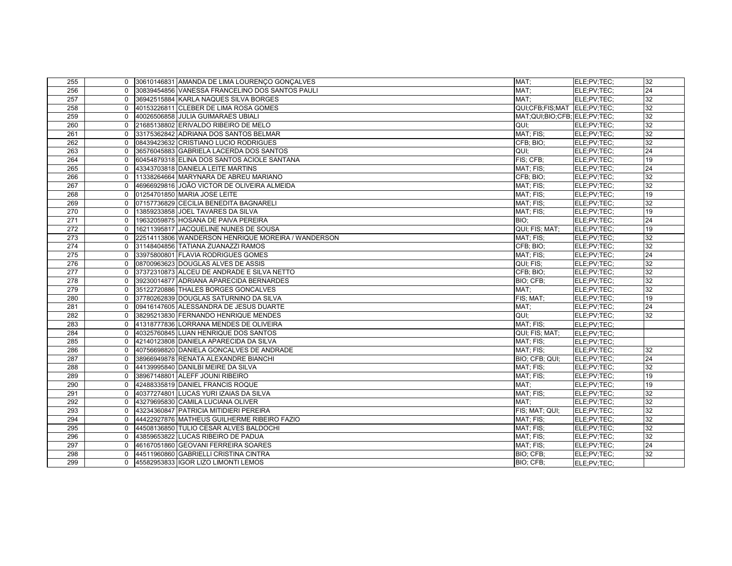| 255              |              | 0 30610146831 AMANDA DE LIMA LOURENÇO GONÇALVES    | MAT:                         | ELE;PV;TEC; | 32 |
|------------------|--------------|----------------------------------------------------|------------------------------|-------------|----|
| 256              | $\Omega$     | 30839454856 VANESSA FRANCELINO DOS SANTOS PAULI    | MAT:                         | ELE:PV:TEC: | 24 |
| 257              | $\Omega$     | 36942515884 KARLA NAQUES SILVA BORGES              | MAT;                         | ELE;PV;TEC; | 32 |
| 258              | $\Omega$     | 40153226811 CLEBER DE LIMA ROSA GOMES              | QUI;CFB;FIS;MAT ELE;PV;TEC;  |             | 32 |
| 259              | $\Omega$     | 40026506858 JULIA GUIMARAES UBIALI                 | MAT:QUI:BIO:CFB: ELE:PV:TEC: |             | 32 |
| 260              | $\Omega$     | 21685138802 ERIVALDO RIBEIRO DE MELO               | QUI:                         | ELE;PV;TEC; | 32 |
| 261              | $\Omega$     | 33175362842 ADRIANA DOS SANTOS BELMAR              | MAT; FIS;                    | ELE;PV;TEC; | 32 |
| 262              | $\Omega$     | 08439423632 CRISTIANO LUCIO RODRIGUES              | CFB; BIO;                    | ELE;PV;TEC; | 32 |
| 263              | $\Omega$     | 36576045883 GABRIELA LACERDA DOS SANTOS            | <b>OUI:</b>                  | ELE;PV;TEC; | 24 |
| 264              | $\Omega$     | 60454879318 ELINA DOS SANTOS ACIOLE SANTANA        | FIS: CFB:                    | ELE;PV;TEC; | 19 |
| 265              | $\Omega$     | 43343703818 DANIELA LEITE MARTINS                  | MAT; FIS;                    | ELE;PV;TEC; | 24 |
| 266              | $\Omega$     | 11338264664 MARYNARA DE ABREU MARIANO              | CFB; BIO;                    | ELE;PV;TEC; | 32 |
| 267              | $\Omega$     | 46966929816 JOÃO VICTOR DE OLIVEIRA ALMEIDA        | MAT; FIS;                    | ELE;PV;TEC; | 32 |
| 268              | $\Omega$     | 01254701850 MARIA JOSE LEITE                       | MAT; FIS;                    | ELE;PV;TEC; | 19 |
| 269              | $\Omega$     | 07157736829 CECILIA BENEDITA BAGNARELI             | MAT; FIS;                    | ELE;PV;TEC; | 32 |
| 270              | $\Omega$     | 13859233858 JJOEL TAVARES DA SILVA                 | MAT: FIS:                    | ELE:PV:TEC: | 19 |
| 271              | $\Omega$     | 19632059875 HOSANA DE PAIVA PEREIRA                | BIO:                         | ELE;PV;TEC; | 24 |
| $\overline{272}$ | $\Omega$     | 16211395817 JACQUELINE NUNES DE SOUSA              | QUI; FIS; MAT;               | ELE:PV:TEC: | 19 |
| $\overline{273}$ | $\Omega$     | 22514113806 WANDERSON HENRIQUE MOREIRA / WANDERSON | MAT: FIS:                    | ELE:PV:TEC: | 32 |
| 274              | $\Omega$     | 31148404856 TATIANA ZUANAZZI RAMOS                 | CFB; BIO;                    | ELE;PV;TEC; | 32 |
| 275              | $\Omega$     | 33975800801 FLAVIA RODRIGUES GOMES                 | MAT; FIS;                    | ELE;PV;TEC; | 24 |
| 276              | $\Omega$     | 08700963623 DOUGLAS ALVES DE ASSIS                 | QUI; FIS;                    | ELE;PV;TEC; | 32 |
| 277              | $\Omega$     | 37372310873 ALCEU DE ANDRADE E SILVA NETTO         | CFB; BIO;                    | ELE;PV;TEC; | 32 |
| 278              | $\Omega$     | 39230014877 ADRIANA APARECIDA BERNARDES            | BIO; CFB;                    | ELE;PV;TEC; | 32 |
| 279              | $\Omega$     | 35122720886 THALES BORGES GONCALVES                | MAT:                         | ELE;PV;TEC; | 32 |
| 280              | $\Omega$     | 37780262839 DOUGLAS SATURNINO DA SILVA             | FIS; MAT;                    | ELE;PV;TEC; | 19 |
| 281              | $\Omega$     | 09416147605 ALESSANDRA DE JESUS DUARTE             | MAT:                         | ELE;PV;TEC; | 24 |
| 282              | $\Omega$     | 38295213830 FERNANDO HENRIQUE MENDES               | QUI:                         | ELE;PV;TEC; | 32 |
| 283              | $\Omega$     | 41318777836 LORRANA MENDES DE OLIVEIRA             | MAT; FIS;                    | ELE;PV;TEC; |    |
| 284              | $\mathbf 0$  | 40325760845 LUAN HENRIQUE DOS SANTOS               | QUI; FIS; MAT;               | ELE:PV:TEC: |    |
| 285              | $\Omega$     | 42140123808 DANIELA APARECIDA DA SILVA             | MAT; FIS;                    | ELE;PV;TEC; |    |
| 286              | $\Omega$     | 40756698820 DANIELA GONCALVES DE ANDRADE           | MAT; FIS;                    | ELE;PV;TEC; | 32 |
| 287              | $\mathbf{0}$ | 38966949878 RENATA ALEXANDRE BIANCHI               | BIO; CFB; QUI;               | ELE;PV;TEC; | 24 |
| 288              | $\Omega$     | 44139995840 DANILBI MEIRE DA SILVA                 | MAT; FIS;                    | ELE;PV;TEC; | 32 |
| 289              | $\Omega$     | 38967148801 ALEFF JOUNI RIBEIRO                    | MAT; FIS;                    | ELE;PV;TEC; | 19 |
| 290              | $\mathbf{0}$ | 42488335819 DANIEL FRANCIS ROQUE                   | MAT;                         | ELE;PV;TEC; | 19 |
| 291              | $\Omega$     | 40377274801 LUCAS YURI IZAIAS DA SILVA             | MAT; FIS;                    | ELE;PV;TEC; | 32 |
| 292              | 0            | 43279695830 CAMILA LUCIANA OLIVER                  | MAT:                         | ELE;PV;TEC; | 32 |
| 293              | $\mathbf{0}$ | 43234360847 PATRICIA MITIDIERI PEREIRA             | FIS; MAT; QUI;               | ELE;PV;TEC; | 32 |
| 294              | $\Omega$     | 44422927876 MATHEUS GUILHERME RIBEIRO FAZIO        | MAT; FIS;                    | ELE;PV;TEC; | 32 |
| 295              | $\Omega$     | 44508136850 TULIO CESAR ALVES BALDOCHI             | MAT; FIS;                    | ELE;PV;TEC; | 32 |
| 296              | $\mathbf{0}$ | 43859653822 LUCAS RIBEIRO DE PADUA                 | MAT; FIS;                    | ELE;PV;TEC; | 32 |
| 297              | $\Omega$     | 46167051860 GEOVANI FERREIRA SOARES                | MAT; FIS;                    | ELE;PV;TEC; | 24 |
| 298              | $\Omega$     | 44511960860 GABRIELLI CRISTINA CINTRA              | BIO; CFB;                    | ELE;PV;TEC; | 32 |
| 299              | $\Omega$     | 45582953833 IGOR LIZO LIMONTI LEMOS                | BIO: CFB:                    | ELE;PV;TEC; |    |